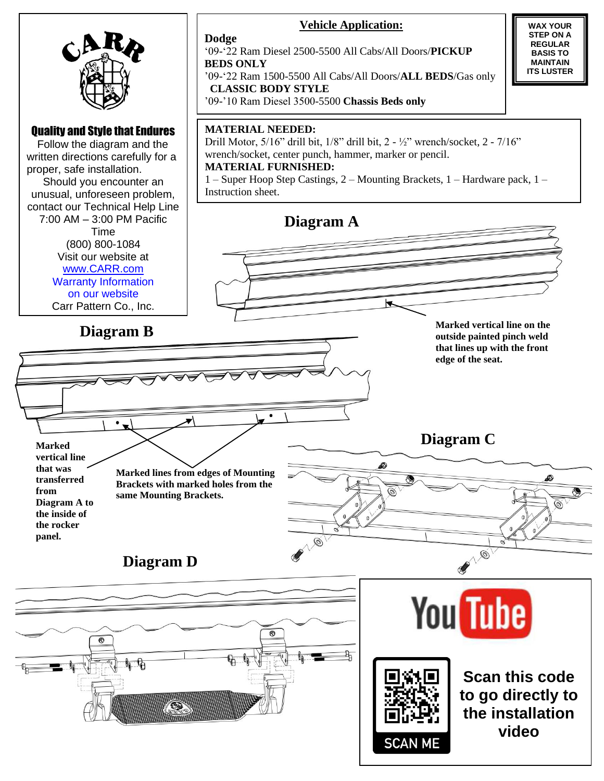